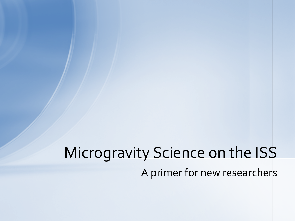# A primer for new researchers Microgravity Science on the ISS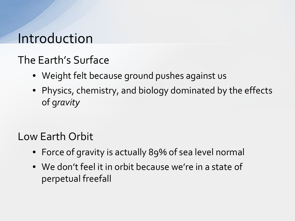## Introduction

### The Earth's Surface

- Weight felt because ground pushes against us
- Physics, chemistry, and biology dominated by the effects of g*ravity*

Low Earth Orbit

- Force of gravity is actually 89% of sea level normal
- We don't feel it in orbit because we're in a state of perpetual freefall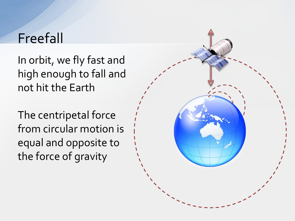## Freefall

In orbit, we fly fast and high enough to fall and not hit the Earth

The centripetal force from circular motion is equal and opposite to the force of gravity

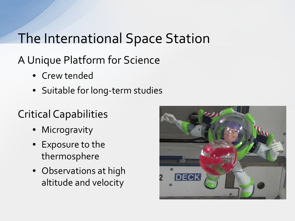# The International Space Station

### A Unique Platform for Science

- Crew tended
- Suitable for long-term studies

### Critical Capabilities

- Microgravity
- Exposure to the thermosphere
- Observations at high altitude and velocity

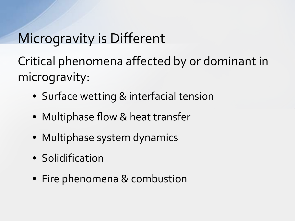# Microgravity is Different

Critical phenomena affected by or dominant in microgravity:

- Surface wetting & interfacial tension
- Multiphase flow & heat transfer
- Multiphase system dynamics
- Solidification
- Fire phenomena & combustion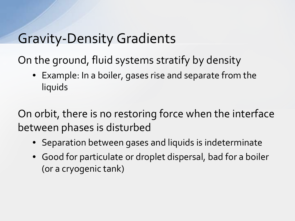## Gravity-Density Gradients

On the ground, fluid systems stratify by density

• Example: In a boiler, gases rise and separate from the liquids

On orbit, there is no restoring force when the interface between phases is disturbed

- Separation between gases and liquids is indeterminate
- Good for particulate or droplet dispersal, bad for a boiler (or a cryogenic tank)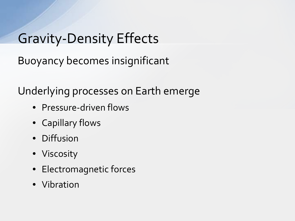# Gravity-Density Effects

Buoyancy becomes insignificant

Underlying processes on Earth emerge

- Pressure-driven flows
- Capillary flows
- Diffusion
- Viscosity
- Electromagnetic forces
- Vibration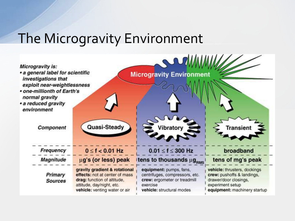## The Microgravity Environment

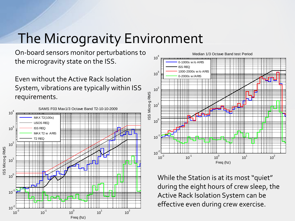## The Microgravity Environment

On-board sensors monitor perturbations to the microgravity state on the ISS.

Even without the Active Rack Isolation System, vibrations are typically within ISS requirements.





While the Station is at its most "quiet" during the eight hours of crew sleep, the Active Rack Isolation System can be effective even during crew exercise.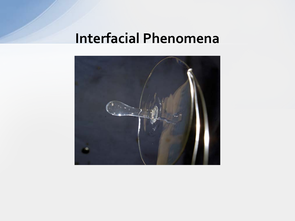# **Interfacial Phenomena**

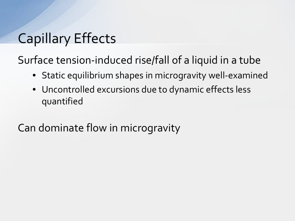# Capillary Effects

Surface tension-induced rise/fall of a liquid in a tube

- Static equilibrium shapes in microgravity well-examined
- Uncontrolled excursions due to dynamic effects less quantified

Can dominate flow in microgravity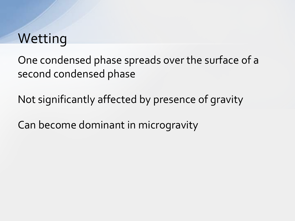## **Wetting**

One condensed phase spreads over the surface of a second condensed phase

Not significantly affected by presence of gravity

Can become dominant in microgravity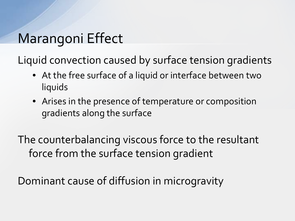# Marangoni Effect

Liquid convection caused by surface tension gradients

- At the free surface of a liquid or interface between two liquids
- Arises in the presence of temperature or composition gradients along the surface

The counterbalancing viscous force to the resultant force from the surface tension gradient

Dominant cause of diffusion in microgravity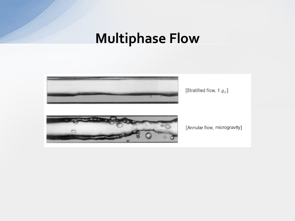## **Multiphase Flow**

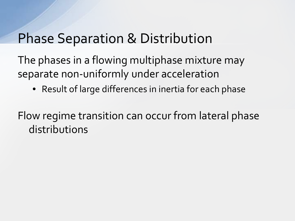## Phase Separation & Distribution

The phases in a flowing multiphase mixture may separate non-uniformly under acceleration

• Result of large differences in inertia for each phase

Flow regime transition can occur from lateral phase distributions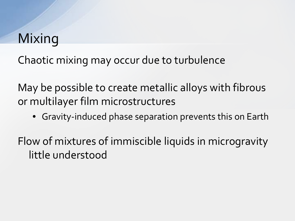# Mixing

Chaotic mixing may occur due to turbulence

May be possible to create metallic alloys with fibrous or multilayer film microstructures

• Gravity-induced phase separation prevents this on Earth

Flow of mixtures of immiscible liquids in microgravity little understood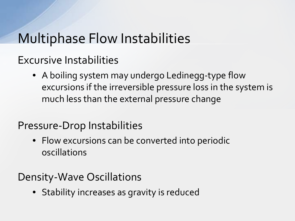## Multiphase Flow Instabilities

Excursive Instabilities

• A boiling system may undergo Ledinegg-type flow excursions if the irreversible pressure loss in the system is much less than the external pressure change

#### Pressure-Drop Instabilities

• Flow excursions can be converted into periodic oscillations

#### Density-Wave Oscillations

• Stability increases as gravity is reduced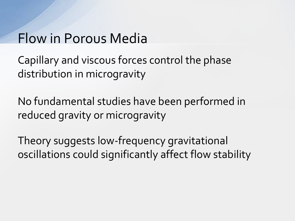## Flow in Porous Media

Capillary and viscous forces control the phase distribution in microgravity

No fundamental studies have been performed in reduced gravity or microgravity

Theory suggests low-frequency gravitational oscillations could significantly affect flow stability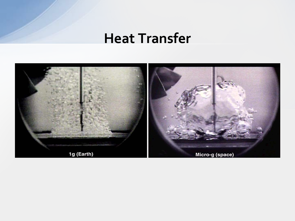### **Heat Transfer**

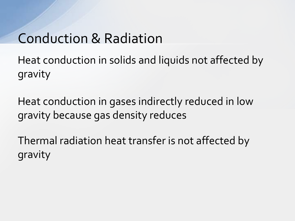## Conduction & Radiation

Heat conduction in solids and liquids not affected by gravity

Heat conduction in gases indirectly reduced in low gravity because gas density reduces

Thermal radiation heat transfer is not affected by gravity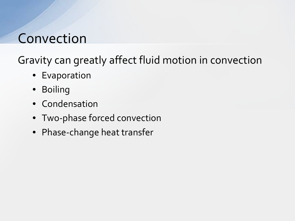## Convection

Gravity can greatly affect fluid motion in convection

- Evaporation
- Boiling
- Condensation
- Two-phase forced convection
- Phase-change heat transfer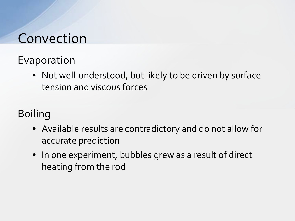## Convection

### Evaporation

• Not well-understood, but likely to be driven by surface tension and viscous forces

### Boiling

- Available results are contradictory and do not allow for accurate prediction
- In one experiment, bubbles grew as a result of direct heating from the rod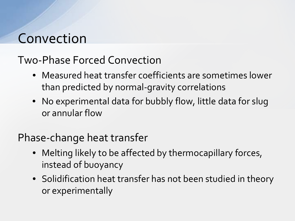## Convection

### Two-Phase Forced Convection

- Measured heat transfer coefficients are sometimes lower than predicted by normal-gravity correlations
- No experimental data for bubbly flow, little data for slug or annular flow

#### Phase-change heat transfer

- Melting likely to be affected by thermocapillary forces, instead of buoyancy
- Solidification heat transfer has not been studied in theory or experimentally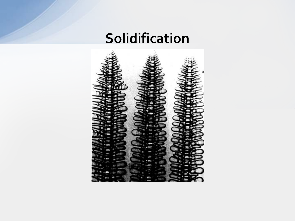# **Solidification**

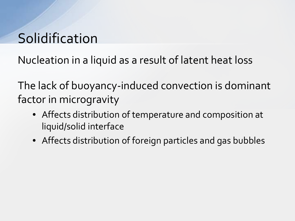# **Solidification**

Nucleation in a liquid as a result of latent heat loss

The lack of buoyancy-induced convection is dominant factor in microgravity

- Affects distribution of temperature and composition at liquid/solid interface
- Affects distribution of foreign particles and gas bubbles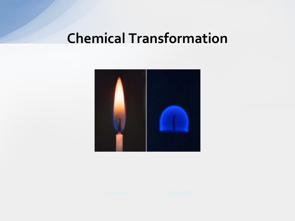## **Chemical Transformation**



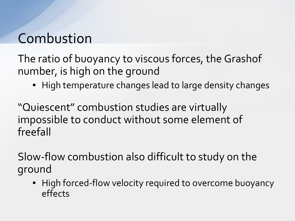The ratio of buoyancy to viscous forces, the Grashof number, is high on the ground

• High temperature changes lead to large density changes

"Quiescent" combustion studies are virtually impossible to conduct without some element of freefall

Slow-flow combustion also difficult to study on the ground

• High forced-flow velocity required to overcome buoyancy effects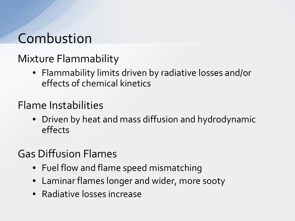### Mixture Flammability

• Flammability limits driven by radiative losses and/or effects of chemical kinetics

#### Flame Instabilities

• Driven by heat and mass diffusion and hydrodynamic effects

### Gas Diffusion Flames

- Fuel flow and flame speed mismatching
- Laminar flames longer and wider, more sooty
- Radiative losses increase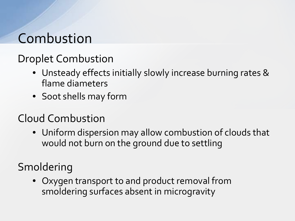### Droplet Combustion

- Unsteady effects initially slowly increase burning rates & flame diameters
- Soot shells may form

#### Cloud Combustion

• Uniform dispersion may allow combustion of clouds that would not burn on the ground due to settling

### Smoldering

• Oxygen transport to and product removal from smoldering surfaces absent in microgravity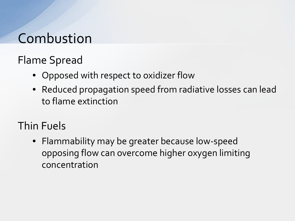Flame Spread

- Opposed with respect to oxidizer flow
- Reduced propagation speed from radiative losses can lead to flame extinction

### Thin Fuels

• Flammability may be greater because low-speed opposing flow can overcome higher oxygen limiting concentration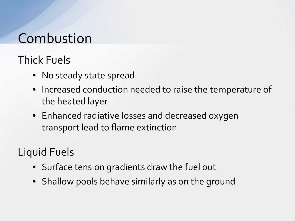### Thick Fuels

- No steady state spread
- Increased conduction needed to raise the temperature of the heated layer
- Enhanced radiative losses and decreased oxygen transport lead to flame extinction

### Liquid Fuels

- Surface tension gradients draw the fuel out
- Shallow pools behave similarly as on the ground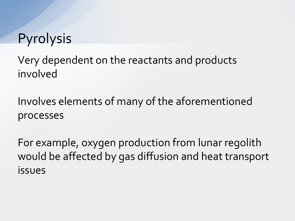## Pyrolysis

Very dependent on the reactants and products involved

Involves elements of many of the aforementioned processes

For example, oxygen production from lunar regolith would be affected by gas diffusion and heat transport issues